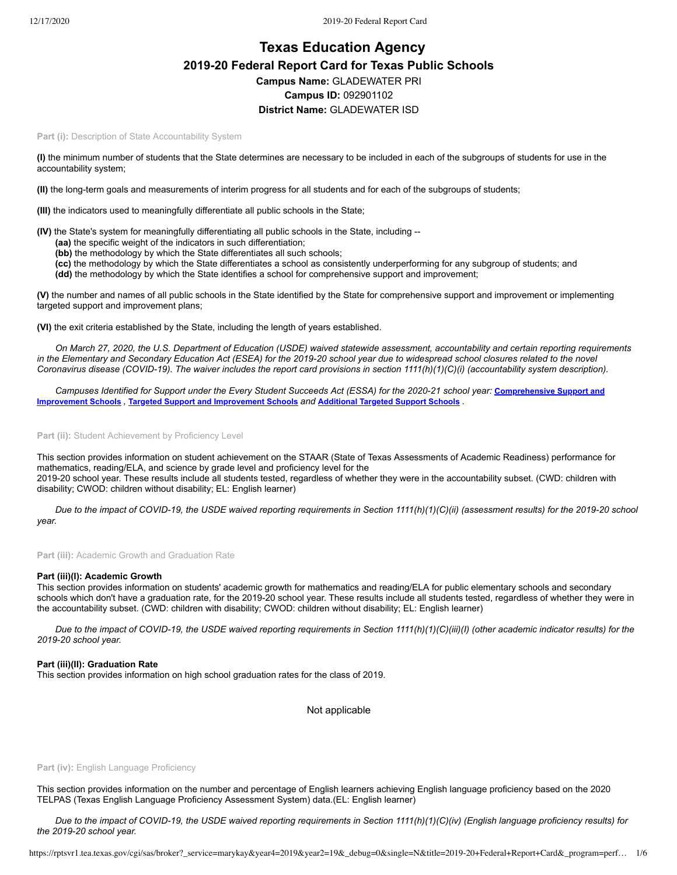# **Texas Education Agency 2019-20 Federal Report Card for Texas Public Schools Campus Name:** GLADEWATER PRI **Campus ID:** 092901102 **District Name:** GLADEWATER ISD

Part (i): Description of State Accountability System

**(I)** the minimum number of students that the State determines are necessary to be included in each of the subgroups of students for use in the accountability system;

**(II)** the long-term goals and measurements of interim progress for all students and for each of the subgroups of students;

**(III)** the indicators used to meaningfully differentiate all public schools in the State;

**(IV)** the State's system for meaningfully differentiating all public schools in the State, including --

- **(aa)** the specific weight of the indicators in such differentiation;
- **(bb)** the methodology by which the State differentiates all such schools;
- **(cc)** the methodology by which the State differentiates a school as consistently underperforming for any subgroup of students; and

**(dd)** the methodology by which the State identifies a school for comprehensive support and improvement;

**(V)** the number and names of all public schools in the State identified by the State for comprehensive support and improvement or implementing targeted support and improvement plans;

**(VI)** the exit criteria established by the State, including the length of years established.

*On March 27, 2020, the U.S. Department of Education (USDE) waived statewide assessment, accountability and certain reporting requirements in the Elementary and Secondary Education Act (ESEA) for the 2019-20 school year due to widespread school closures related to the novel Coronavirus disease (COVID-19). The waiver includes the report card provisions in section 1111(h)(1)(C)(i) (accountability system description).*

*[Campuses Identified for Support under the Every Student Succeeds Act \(ESSA\) for the 2020-21 school year:](https://tea.texas.gov/sites/default/files/comprehensive_support_2020.xlsx)* **Comprehensive Support and Improvement Schools** *,* **Targeted Support and [Improvement](https://tea.texas.gov/sites/default/files/targeted_support_2020.xlsx) Schools** *and* **[Additional](https://tea.texas.gov/sites/default/files/additional_targeted_support_2020.xlsx) Targeted Support Schools** *.*

Part (ii): Student Achievement by Proficiency Level

This section provides information on student achievement on the STAAR (State of Texas Assessments of Academic Readiness) performance for mathematics, reading/ELA, and science by grade level and proficiency level for the 2019-20 school year. These results include all students tested, regardless of whether they were in the accountability subset. (CWD: children with disability; CWOD: children without disability; EL: English learner)

*Due to the impact of COVID-19, the USDE waived reporting requirements in Section 1111(h)(1)(C)(ii) (assessment results) for the 2019-20 school year.*

Part (iii): Academic Growth and Graduation Rate

## **Part (iii)(I): Academic Growth**

This section provides information on students' academic growth for mathematics and reading/ELA for public elementary schools and secondary schools which don't have a graduation rate, for the 2019-20 school year. These results include all students tested, regardless of whether they were in the accountability subset. (CWD: children with disability; CWOD: children without disability; EL: English learner)

*Due to the impact of COVID-19, the USDE waived reporting requirements in Section 1111(h)(1)(C)(iii)(I) (other academic indicator results) for the 2019-20 school year.*

## **Part (iii)(II): Graduation Rate**

This section provides information on high school graduation rates for the class of 2019.

Not applicable

### Part (iv): English Language Proficiency

This section provides information on the number and percentage of English learners achieving English language proficiency based on the 2020 TELPAS (Texas English Language Proficiency Assessment System) data.(EL: English learner)

*Due to the impact of COVID-19, the USDE waived reporting requirements in Section 1111(h)(1)(C)(iv) (English language proficiency results) for the 2019-20 school year.*

https://rptsvr1.tea.texas.gov/cgi/sas/broker?\_service=marykay&year4=2019&year2=19&\_debug=0&single=N&title=2019-20+Federal+Report+Card&\_program=perf… 1/6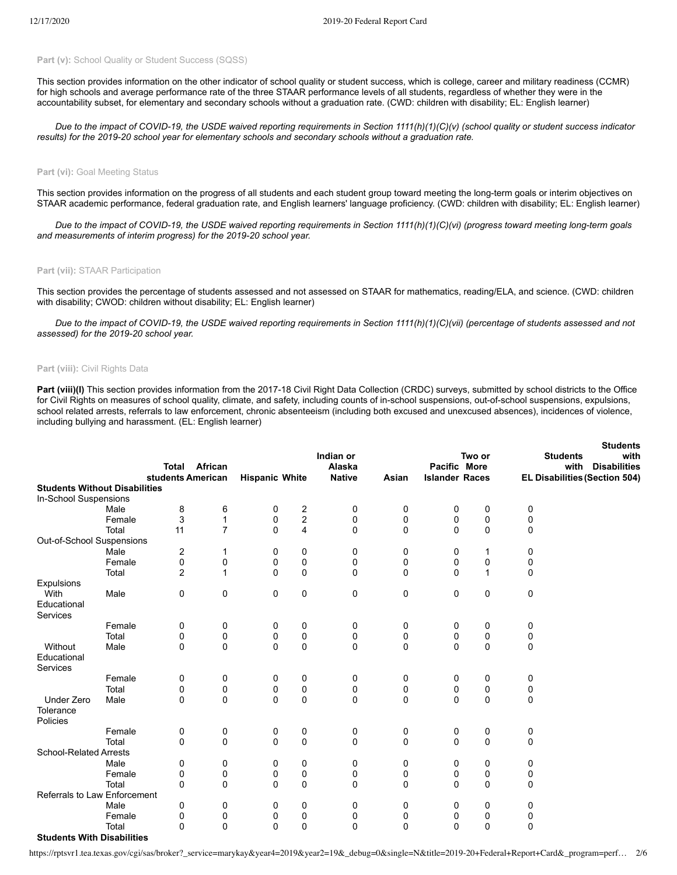# Part (v): School Quality or Student Success (SQSS)

This section provides information on the other indicator of school quality or student success, which is college, career and military readiness (CCMR) for high schools and average performance rate of the three STAAR performance levels of all students, regardless of whether they were in the accountability subset, for elementary and secondary schools without a graduation rate. (CWD: children with disability; EL: English learner)

*Due to the impact of COVID-19, the USDE waived reporting requirements in Section 1111(h)(1)(C)(v) (school quality or student success indicator results) for the 2019-20 school year for elementary schools and secondary schools without a graduation rate.*

### **Part (vi): Goal Meeting Status**

This section provides information on the progress of all students and each student group toward meeting the long-term goals or interim objectives on STAAR academic performance, federal graduation rate, and English learners' language proficiency. (CWD: children with disability; EL: English learner)

*Due to the impact of COVID-19, the USDE waived reporting requirements in Section 1111(h)(1)(C)(vi) (progress toward meeting long-term goals and measurements of interim progress) for the 2019-20 school year.*

#### **Part (vii):** STAAR Participation

This section provides the percentage of students assessed and not assessed on STAAR for mathematics, reading/ELA, and science. (CWD: children with disability; CWOD: children without disability; EL: English learner)

*Due to the impact of COVID-19, the USDE waived reporting requirements in Section 1111(h)(1)(C)(vii) (percentage of students assessed and not assessed) for the 2019-20 school year.*

## **Part (viii):** Civil Rights Data

Part (viii)(I) This section provides information from the 2017-18 Civil Right Data Collection (CRDC) surveys, submitted by school districts to the Office for Civil Rights on measures of school quality, climate, and safety, including counts of in-school suspensions, out-of-school suspensions, expulsions, school related arrests, referrals to law enforcement, chronic absenteeism (including both excused and unexcused absences), incidences of violence, including bullying and harassment. (EL: English learner)

**Students**

|                                      |               | <b>Total</b><br>students American | African          | <b>Hispanic White</b> |               | Indian or<br>Alaska<br><b>Native</b> | Asian       | Pacific More<br><b>Islander Races</b> | Two or       |          | otudents<br><b>Students</b><br>with<br>with<br><b>Disabilities</b><br><b>EL Disabilities (Section 504)</b> |
|--------------------------------------|---------------|-----------------------------------|------------------|-----------------------|---------------|--------------------------------------|-------------|---------------------------------------|--------------|----------|------------------------------------------------------------------------------------------------------------|
| <b>Students Without Disabilities</b> |               |                                   |                  |                       |               |                                      |             |                                       |              |          |                                                                                                            |
| In-School Suspensions                |               |                                   |                  |                       |               |                                      |             |                                       |              |          |                                                                                                            |
|                                      | Male          | 8                                 | 6                | 0                     | $\frac{2}{2}$ | 0                                    | 0           | 0                                     | 0            | 0        |                                                                                                            |
|                                      | Female        | 3                                 | $\mathbf{1}$     | 0                     |               | 0                                    | 0           | 0                                     | 0            | 0        |                                                                                                            |
|                                      | Total         | 11                                | $\overline{7}$   | $\mathbf 0$           | 4             | 0                                    | 0           | 0                                     | 0            | 0        |                                                                                                            |
| Out-of-School Suspensions            |               |                                   |                  |                       |               |                                      |             |                                       |              |          |                                                                                                            |
|                                      | Male          | 2                                 | 1                | 0                     | 0             | 0                                    | 0           | 0                                     | 1            | 0        |                                                                                                            |
|                                      | Female        | 0                                 | 0                | 0                     | 0             | 0                                    | 0           | $\mathbf 0$                           | 0            | 0        |                                                                                                            |
|                                      | Total         | 2                                 | 1                | $\Omega$              | 0             | 0                                    | $\Omega$    | $\Omega$                              | $\mathbf{1}$ | 0        |                                                                                                            |
| Expulsions                           |               |                                   |                  |                       |               |                                      |             |                                       |              |          |                                                                                                            |
| With                                 | Male          | 0                                 | $\mathbf 0$      | 0                     | 0             | 0                                    | 0           | 0                                     | 0            | 0        |                                                                                                            |
| Educational                          |               |                                   |                  |                       |               |                                      |             |                                       |              |          |                                                                                                            |
| Services                             |               |                                   |                  |                       |               |                                      |             |                                       |              |          |                                                                                                            |
|                                      | Female        | 0                                 | 0                | 0                     | 0             | 0                                    | 0           | 0                                     | 0            | 0        |                                                                                                            |
| Without                              | Total<br>Male | 0<br>0                            | 0<br>$\mathbf 0$ | 0<br>$\Omega$         | 0<br>0        | 0<br>0                               | 0<br>0      | 0<br>0                                | 0<br>0       | 0<br>0   |                                                                                                            |
| Educational                          |               |                                   |                  |                       |               |                                      |             |                                       |              |          |                                                                                                            |
| Services                             |               |                                   |                  |                       |               |                                      |             |                                       |              |          |                                                                                                            |
|                                      | Female        | 0                                 | 0                | 0                     | 0             | 0                                    | 0           | 0                                     | 0            | 0        |                                                                                                            |
|                                      | Total         | 0                                 | $\mathbf 0$      | 0                     | 0             | 0                                    | 0           | 0                                     | 0            | 0        |                                                                                                            |
| Under Zero                           | Male          | $\Omega$                          | $\Omega$         | $\Omega$              | 0             | 0                                    | $\Omega$    | $\Omega$                              | 0            | $\Omega$ |                                                                                                            |
| Tolerance                            |               |                                   |                  |                       |               |                                      |             |                                       |              |          |                                                                                                            |
| Policies                             |               |                                   |                  |                       |               |                                      |             |                                       |              |          |                                                                                                            |
|                                      | Female        | 0                                 | 0                | 0                     | 0             | 0                                    | 0           | 0                                     | 0            | 0        |                                                                                                            |
|                                      | Total         | 0                                 | $\mathbf 0$      | $\mathbf 0$           | 0             | 0                                    | $\mathbf 0$ | $\mathbf 0$                           | 0            | 0        |                                                                                                            |
| <b>School-Related Arrests</b>        |               |                                   |                  |                       |               |                                      |             |                                       |              |          |                                                                                                            |
|                                      | Male          | 0                                 | 0                | 0                     | 0             | 0                                    | 0           | 0                                     | 0            | 0        |                                                                                                            |
|                                      | Female        | 0                                 | 0                | 0                     | 0             | 0                                    | 0           | 0                                     | 0            | 0        |                                                                                                            |
|                                      | Total         | 0                                 | $\Omega$         | $\Omega$              | 0             | 0                                    | $\mathbf 0$ | $\Omega$                              | $\Omega$     | $\Omega$ |                                                                                                            |
| Referrals to Law Enforcement         |               |                                   |                  |                       |               |                                      |             |                                       |              |          |                                                                                                            |
|                                      | Male          | 0                                 | 0                | 0                     | 0             | 0                                    | 0           | 0                                     | 0            | 0        |                                                                                                            |
|                                      | Female        | 0                                 | 0                | 0                     | 0             | 0                                    | 0           | 0                                     | 0            | 0        |                                                                                                            |
|                                      | Total         | 0                                 | $\mathbf{0}$     | $\mathbf{0}$          | 0             | $\Omega$                             | $\mathbf 0$ | $\Omega$                              | $\mathbf 0$  | $\Omega$ |                                                                                                            |
| <b>Students With Disabilities</b>    |               |                                   |                  |                       |               |                                      |             |                                       |              |          |                                                                                                            |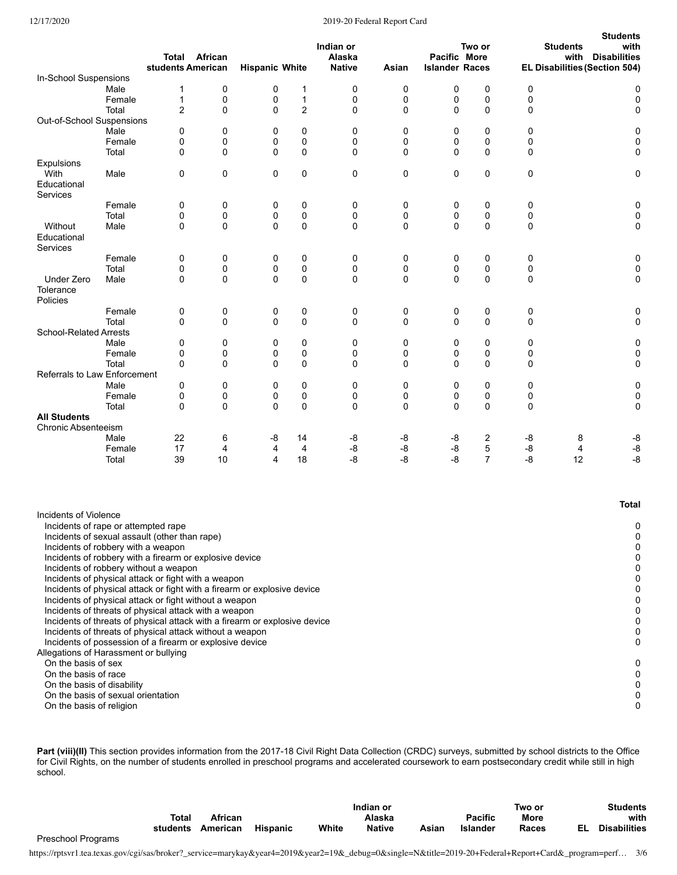## 12/17/2020 2019-20 Federal Report Card

|                                                                           |                 | <b>Total African</b><br>students American                                                                                                               |          | <b>Hispanic White</b> |                | Indian or<br>Alaska<br><b>Native</b> | Asian    | Pacific More<br><b>Islander Races</b> | Two or         |          | <b>Students</b><br>with<br>EL Disabilities (Section 504) | <b>Students</b><br>with<br><b>Disabilities</b> |
|---------------------------------------------------------------------------|-----------------|---------------------------------------------------------------------------------------------------------------------------------------------------------|----------|-----------------------|----------------|--------------------------------------|----------|---------------------------------------|----------------|----------|----------------------------------------------------------|------------------------------------------------|
| In-School Suspensions                                                     |                 |                                                                                                                                                         |          |                       |                |                                      |          |                                       |                |          |                                                          |                                                |
|                                                                           | Male            | 1                                                                                                                                                       | 0        | 0                     | 1              | 0                                    | 0        | 0                                     | 0              | 0        |                                                          | 0                                              |
|                                                                           | Female          | $\mathbf{1}$                                                                                                                                            | 0        | 0                     | $\mathbf{1}$   | 0                                    | 0        | 0                                     | 0              | 0        |                                                          | $\mathbf 0$                                    |
|                                                                           | Total           | $\overline{2}$                                                                                                                                          | 0        | 0                     | $\overline{2}$ | 0                                    | 0        | 0                                     | $\mathbf 0$    | 0        |                                                          | 0                                              |
| Out-of-School Suspensions                                                 |                 |                                                                                                                                                         |          |                       |                |                                      |          |                                       |                |          |                                                          |                                                |
|                                                                           | Male            | 0                                                                                                                                                       | 0        | 0                     | 0              | 0                                    | 0        | 0                                     | 0              | 0        |                                                          | 0                                              |
|                                                                           | Female          | 0                                                                                                                                                       | 0        | 0                     | 0              | 0                                    | 0        | 0                                     | $\mathbf 0$    | 0        |                                                          | 0                                              |
|                                                                           | Total           | 0                                                                                                                                                       | 0        | $\Omega$              | $\Omega$       | 0                                    | $\Omega$ | $\Omega$                              | $\mathbf 0$    | $\Omega$ |                                                          | 0                                              |
| Expulsions                                                                |                 |                                                                                                                                                         |          |                       |                |                                      |          |                                       |                |          |                                                          |                                                |
| With<br>Educational<br>Services                                           | Male            | 0                                                                                                                                                       | 0        | $\mathbf 0$           | 0              | 0                                    | 0        | 0                                     | $\mathbf 0$    | 0        |                                                          | 0                                              |
|                                                                           | Female          | 0                                                                                                                                                       | 0        | 0                     | 0              | 0                                    | 0        | 0                                     | 0              | 0        |                                                          | 0                                              |
|                                                                           | Total           | 0                                                                                                                                                       | 0        | 0                     | 0              | 0                                    | 0        | 0                                     | 0              | 0        |                                                          | 0                                              |
| Without<br>Educational                                                    | Male            | 0                                                                                                                                                       | $\Omega$ | $\Omega$              | 0              | 0                                    | 0        | 0                                     | 0              | 0        |                                                          | 0                                              |
| Services                                                                  |                 |                                                                                                                                                         |          |                       |                |                                      |          |                                       |                |          |                                                          |                                                |
|                                                                           | Female<br>Total | 0<br>0                                                                                                                                                  | 0<br>0   | 0<br>0                | 0<br>0         | 0<br>0                               | 0<br>0   | 0<br>0                                | 0<br>0         | 0<br>0   |                                                          | 0<br>0                                         |
| <b>Under Zero</b>                                                         | Male            | 0                                                                                                                                                       | 0        | $\Omega$              | 0              | 0                                    | 0        | 0                                     | 0              | 0        |                                                          | 0                                              |
| Tolerance<br>Policies                                                     |                 |                                                                                                                                                         |          |                       |                |                                      |          |                                       |                |          |                                                          |                                                |
|                                                                           | Female          | 0                                                                                                                                                       | 0        | 0                     | 0              | 0                                    | 0        | 0                                     | 0              | 0        |                                                          | 0                                              |
|                                                                           | Total           | 0                                                                                                                                                       | 0        | 0                     | 0              | 0                                    | 0        | 0                                     | $\mathbf 0$    | 0        |                                                          | 0                                              |
| <b>School-Related Arrests</b>                                             |                 |                                                                                                                                                         |          |                       |                |                                      |          |                                       |                |          |                                                          |                                                |
|                                                                           | Male            | 0                                                                                                                                                       | 0        | 0                     | 0              | 0                                    | 0        | 0                                     | 0              | 0        |                                                          | 0                                              |
|                                                                           | Female          | 0                                                                                                                                                       | 0        | 0                     | 0              | 0                                    | 0        | 0                                     | 0              | 0        |                                                          | 0                                              |
| Referrals to Law Enforcement                                              | Total           | 0                                                                                                                                                       | 0        | $\Omega$              | 0              | 0                                    | 0        | $\Omega$                              | $\mathbf 0$    | 0        |                                                          | 0                                              |
|                                                                           | Male            | 0                                                                                                                                                       | 0        | 0                     | 0              | 0                                    | 0        | 0                                     | $\mathbf 0$    | 0        |                                                          | 0                                              |
|                                                                           | Female          | 0                                                                                                                                                       | 0        | 0                     | 0              | 0                                    | 0        | 0                                     | 0              | 0        |                                                          | 0                                              |
|                                                                           | Total           | 0                                                                                                                                                       | 0        | $\mathbf 0$           | 0              | 0                                    | 0        | 0                                     | 0              | 0        |                                                          | 0                                              |
| <b>All Students</b>                                                       |                 |                                                                                                                                                         |          |                       |                |                                      |          |                                       |                |          |                                                          |                                                |
| <b>Chronic Absenteeism</b>                                                |                 |                                                                                                                                                         |          |                       |                |                                      |          |                                       |                |          |                                                          |                                                |
|                                                                           | Male            | 22                                                                                                                                                      | 6        | -8                    | 14             | -8                                   | -8       | -8                                    | 2              | -8       | 8                                                        | -8                                             |
|                                                                           | Female          | 17                                                                                                                                                      | 4        | 4                     | 4              | -8                                   | -8       | -8                                    | 5              | -8       | 4                                                        | $-8$                                           |
|                                                                           | Total           | 39                                                                                                                                                      | 10       | 4                     | 18             | -8                                   | -8       | -8                                    | $\overline{7}$ | -8       | 12                                                       | -8                                             |
|                                                                           |                 |                                                                                                                                                         |          |                       |                |                                      |          |                                       |                |          |                                                          | <b>Total</b>                                   |
| Incidents of Violence                                                     |                 |                                                                                                                                                         |          |                       |                |                                      |          |                                       |                |          |                                                          |                                                |
| Incidents of rape or attempted rape<br>Incidents of robbery with a weapon |                 | Incidents of sexual assault (other than rape)                                                                                                           |          |                       |                |                                      |          |                                       |                |          |                                                          | 0<br>0<br>0                                    |
|                                                                           |                 | Incidents of robbery with a firearm or explosive device<br>Incidents of robbery without a weapon<br>Incidents of physical attack or fight with a weapon |          |                       |                |                                      |          |                                       |                |          |                                                          | 0<br>0<br>0                                    |
|                                                                           |                 | Incidents of physical attack or fight with a firearm or explosive device<br>Incidents of physical attack or fight without a weapon                      |          |                       |                |                                      |          |                                       |                |          |                                                          | 0<br>0<br>0                                    |
|                                                                           |                 | Incidents of threats of physical attack with a weapon<br>Incidents of threats of physical attack with a firearm or explosive device                     |          |                       |                |                                      |          |                                       |                |          |                                                          | 0                                              |
|                                                                           |                 | Incidents of threats of physical attack without a weapon                                                                                                |          |                       |                |                                      |          |                                       |                |          |                                                          | 0                                              |
|                                                                           |                 | Incidents of possession of a firearm or explosive device                                                                                                |          |                       |                |                                      |          |                                       |                |          |                                                          | 0                                              |
| Allegations of Harassment or bullying                                     |                 |                                                                                                                                                         |          |                       |                |                                      |          |                                       |                |          |                                                          |                                                |
| On the basis of sex                                                       |                 |                                                                                                                                                         |          |                       |                |                                      |          |                                       |                |          |                                                          | 0                                              |
| On the basis of race                                                      |                 |                                                                                                                                                         |          |                       |                |                                      |          |                                       |                |          |                                                          | 0                                              |
| On the basis of disability                                                |                 |                                                                                                                                                         |          |                       |                |                                      |          |                                       |                |          |                                                          | 0                                              |
| On the basis of sexual orientation                                        |                 |                                                                                                                                                         |          |                       |                |                                      |          |                                       |                |          |                                                          | 0                                              |

On the basis of religion 0

Part (viii)(II) This section provides information from the 2017-18 Civil Right Data Collection (CRDC) surveys, submitted by school districts to the Office for Civil Rights, on the number of students enrolled in preschool programs and accelerated coursework to earn postsecondary credit while still in high school.

|                    |          |          |                 |       | Indian or     |       |                | Two or |    | <b>Students</b>     |  |
|--------------------|----------|----------|-----------------|-------|---------------|-------|----------------|--------|----|---------------------|--|
|                    | Total    | African  |                 |       | Alaska        |       | <b>Pacific</b> | More   |    | with                |  |
|                    | students | American | <b>Hispanic</b> | White | <b>Native</b> | Asian | Islander       | Races  | FI | <b>Disabilities</b> |  |
| Preschool Programs |          |          |                 |       |               |       |                |        |    |                     |  |

https://rptsvr1.tea.texas.gov/cgi/sas/broker?\_service=marykay&year4=2019&year2=19&\_debug=0&single=N&title=2019-20+Federal+Report+Card&\_program=perf… 3/6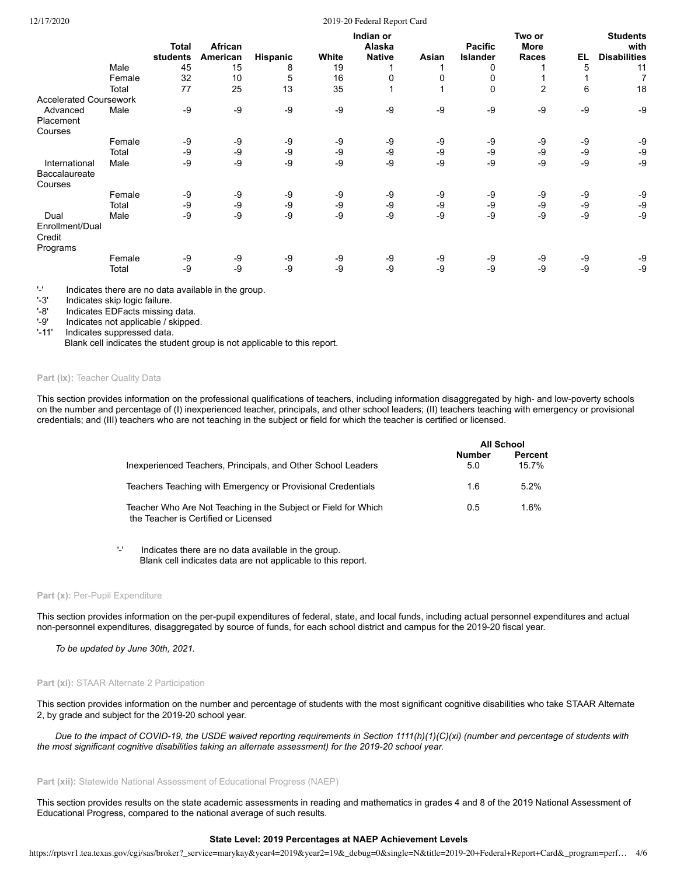## 12/17/2020 2019-20 Federal Report Card

|                               |        | Total    | African  |          |       | Indian or<br>Alaska |       | <b>Pacific</b>  | Two or<br>More |    | <b>Students</b><br>with |
|-------------------------------|--------|----------|----------|----------|-------|---------------------|-------|-----------------|----------------|----|-------------------------|
|                               |        | students | American | Hispanic | White | <b>Native</b>       | Asian | <b>Islander</b> | Races          | EL | <b>Disabilities</b>     |
|                               | Male   | 45       | 15       | 8        | 19    |                     |       | $\Omega$        |                | 5  | 11                      |
|                               | Female | 32       | 10       | 5        | 16    | 0                   | 0     | 0               |                |    | 7                       |
|                               | Total  | 77       | 25       | 13       | 35    |                     |       | 0               | $\overline{2}$ | 6  | 18                      |
| <b>Accelerated Coursework</b> |        |          |          |          |       |                     |       |                 |                |    |                         |
| Advanced                      | Male   | $-9$     | -9       | -9       | $-9$  | -9                  | -9    | -9              | -9             | -9 | -9                      |
| Placement                     |        |          |          |          |       |                     |       |                 |                |    |                         |
| Courses                       |        |          |          |          |       |                     |       |                 |                |    |                         |
|                               | Female | -9       | -9       | -9       | -9    | -9                  | -9    | -9              | -9             | -9 | -9                      |
|                               | Total  | -9       | -9       | -9       | -9    | -9                  | -9    | -9              | -9             | -9 | -9                      |
| International                 | Male   | $-9$     | $-9$     | $-9$     | $-9$  | -9                  | -9    | -9              | -9             | -9 | -9                      |
| Baccalaureate                 |        |          |          |          |       |                     |       |                 |                |    |                         |
| Courses                       |        |          |          |          |       |                     |       |                 |                |    |                         |
|                               | Female | -9       | -9       | -9       | -9    | -9                  | -9    | -9              | -9             | -9 | -9                      |
|                               | Total  | -9       | -9       | $-9$     | -9    | -9                  | -9    | -9              | -9             | -9 | -9                      |
| Dual                          | Male   | $-9$     | -9       | $-9$     | $-9$  | -9                  | -9    | -9              | -9             | -9 | -9                      |
| Enrollment/Dual<br>Credit     |        |          |          |          |       |                     |       |                 |                |    |                         |
| Programs                      | Female | -9       | -9       | -9       | -9    | -9                  | -9    | -9              | -9             | -9 | -9                      |
|                               |        | $-9$     | $-9$     | $-9$     | $-9$  | -9                  | -9    | -9              | -9             | -9 |                         |
|                               | Total  |          |          |          |       |                     |       |                 |                |    | -9                      |

'-' Indicates there are no data available in the group.

'-3' Indicates skip logic failure.<br>'-8' Indicates EDFacts missing

'-8' Indicates EDFacts missing data.<br>'-9' Indicates not applicable / skipped

Indicates not applicable / skipped.

'-11' Indicates suppressed data.

Blank cell indicates the student group is not applicable to this report.

## Part (ix): Teacher Quality Data

This section provides information on the professional qualifications of teachers, including information disaggregated by high- and low-poverty schools on the number and percentage of (I) inexperienced teacher, principals, and other school leaders; (II) teachers teaching with emergency or provisional credentials; and (III) teachers who are not teaching in the subject or field for which the teacher is certified or licensed.

|                                                                                                        |               | <b>All School</b>       |
|--------------------------------------------------------------------------------------------------------|---------------|-------------------------|
| Inexperienced Teachers, Principals, and Other School Leaders                                           | Number<br>5.0 | <b>Percent</b><br>15.7% |
| Teachers Teaching with Emergency or Provisional Credentials                                            | 1.6           | $5.2\%$                 |
| Teacher Who Are Not Teaching in the Subject or Field for Which<br>the Teacher is Certified or Licensed | 0.5           | $1.6\%$                 |

'-' Indicates there are no data available in the group. Blank cell indicates data are not applicable to this report.

## Part (x): Per-Pupil Expenditure

This section provides information on the per-pupil expenditures of federal, state, and local funds, including actual personnel expenditures and actual non-personnel expenditures, disaggregated by source of funds, for each school district and campus for the 2019-20 fiscal year.

*To be updated by June 30th, 2021.*

#### **Part (xi): STAAR Alternate 2 Participation**

This section provides information on the number and percentage of students with the most significant cognitive disabilities who take STAAR Alternate 2, by grade and subject for the 2019-20 school year.

*Due to the impact of COVID-19, the USDE waived reporting requirements in Section 1111(h)(1)(C)(xi) (number and percentage of students with the most significant cognitive disabilities taking an alternate assessment) for the 2019-20 school year.*

**Part (xii):** Statewide National Assessment of Educational Progress (NAEP)

This section provides results on the state academic assessments in reading and mathematics in grades 4 and 8 of the 2019 National Assessment of Educational Progress, compared to the national average of such results.

# **State Level: 2019 Percentages at NAEP Achievement Levels**

https://rptsvr1.tea.texas.gov/cgi/sas/broker?\_service=marykay&year4=2019&year2=19&\_debug=0&single=N&title=2019-20+Federal+Report+Card&\_program=perf… 4/6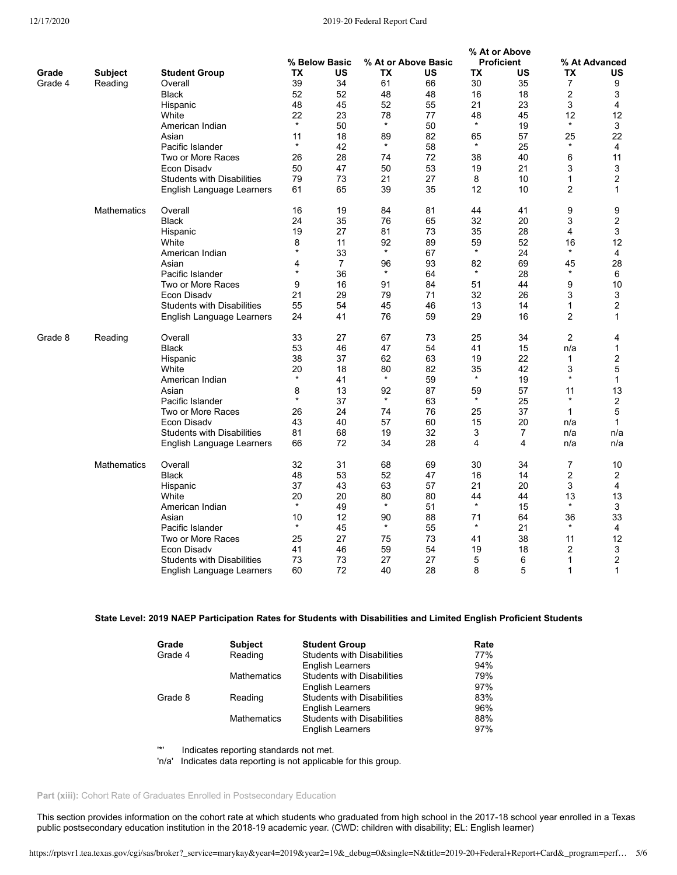# 12/17/2020 2019-20 Federal Report Card

**% At or Above**

|         |                    |                                   |               |                |           |                     | $\sim$ $\sim$ $\sim$ |                   |                |                |
|---------|--------------------|-----------------------------------|---------------|----------------|-----------|---------------------|----------------------|-------------------|----------------|----------------|
|         |                    |                                   |               | % Below Basic  |           | % At or Above Basic |                      | <b>Proficient</b> |                | % At Advanced  |
| Grade   | <b>Subject</b>     | <b>Student Group</b>              | ТX            | US             | <b>TX</b> | US                  | TX                   | US                | <b>TX</b>      | <b>US</b>      |
| Grade 4 | Reading            | Overall                           | 39            | 34             | 61        | 66                  | 30                   | 35                | 7              | 9              |
|         |                    | <b>Black</b>                      | 52            | 52             | 48        | 48                  | 16                   | 18                | 2              | 3              |
|         |                    |                                   |               |                |           |                     |                      |                   |                |                |
|         |                    | Hispanic                          | 48            | 45             | 52        | 55                  | 21                   | 23                | 3              | 4              |
|         |                    | White                             | 22            | 23             | 78        | 77                  | 48                   | 45                | 12             | 12             |
|         |                    | American Indian                   | $\star$       | 50             | $\star$   | 50                  | $\star$              | 19                | $\star$        | 3              |
|         |                    | Asian                             | 11            | 18             | 89        | 82                  | 65                   | 57                | 25             | 22             |
|         |                    | Pacific Islander                  | $\star$       | 42             | $\star$   | 58                  | $\star$              | 25                | $\star$        | 4              |
|         |                    | Two or More Races                 | 26            | 28             | 74        | 72                  | 38                   | 40                | 6              | 11             |
|         |                    |                                   |               |                |           | 53                  |                      | 21                |                |                |
|         |                    | Econ Disady                       | 50            | 47             | 50        |                     | 19                   |                   | 3              | 3              |
|         |                    | <b>Students with Disabilities</b> | 79            | 73             | 21        | 27                  | 8                    | 10                | 1              | $\overline{2}$ |
|         |                    | English Language Learners         | 61            | 65             | 39        | 35                  | 12                   | 10                | $\overline{c}$ | 1              |
|         | <b>Mathematics</b> | Overall                           | 16            | 19             | 84        | 81                  | 44                   | 41                | 9              | 9              |
|         |                    | <b>Black</b>                      | 24            | 35             | 76        | 65                  | 32                   | 20                | 3              | 2              |
|         |                    | Hispanic                          | 19            | 27             | 81        | 73                  | 35                   | 28                | 4              | 3              |
|         |                    | White                             | 8             | 11             | 92        | 89                  | 59                   | 52                | 16             | 12             |
|         |                    |                                   | $\star$       |                | $\star$   |                     | $\star$              |                   | $\star$        |                |
|         |                    | American Indian                   |               | 33             |           | 67                  |                      | 24                |                | 4              |
|         |                    | Asian                             | 4             | $\overline{7}$ | 96        | 93                  | 82                   | 69                | 45             | 28             |
|         |                    | Pacific Islander                  | $\star$       | 36             | $\star$   | 64                  | $\star$              | 28                | $\star$        | 6              |
|         |                    | Two or More Races                 | 9             | 16             | 91        | 84                  | 51                   | 44                | 9              | 10             |
|         |                    | Econ Disadv                       | 21            | 29             | 79        | 71                  | 32                   | 26                | 3              | 3              |
|         |                    | <b>Students with Disabilities</b> | 55            | 54             | 45        | 46                  | 13                   | 14                | 1              | $\overline{2}$ |
|         |                    |                                   | 24            | 41             | 76        | 59                  | 29                   | 16                | 2              | $\mathbf{1}$   |
|         |                    | English Language Learners         |               |                |           |                     |                      |                   |                |                |
| Grade 8 | Reading            | Overall                           | 33            | 27             | 67        | 73                  | 25                   | 34                | $\overline{c}$ | 4              |
|         |                    | <b>Black</b>                      | 53            | 46             | 47        | 54                  | 41                   | 15                | n/a            | 1              |
|         |                    | Hispanic                          | 38            | 37             | 62        | 63                  | 19                   | 22                | 1              | 2              |
|         |                    |                                   |               |                |           |                     |                      |                   |                |                |
|         |                    | White                             | 20<br>$\star$ | 18             | 80        | 82                  | 35<br>$\star$        | 42                | 3<br>$\star$   | 5              |
|         |                    | American Indian                   |               | 41             | $\star$   | 59                  |                      | 19                |                | $\mathbf{1}$   |
|         |                    | Asian                             | 8             | 13             | 92        | 87                  | 59                   | 57                | 11             | 13             |
|         |                    | Pacific Islander                  | $\star$       | 37             | $\star$   | 63                  | $\star$              | 25                | $\ast$         | $\overline{c}$ |
|         |                    | Two or More Races                 | 26            | 24             | 74        | 76                  | 25                   | 37                | 1              | 5              |
|         |                    | Econ Disadv                       | 43            | 40             | 57        | 60                  | 15                   | 20                | n/a            | $\mathbf{1}$   |
|         |                    | <b>Students with Disabilities</b> | 81            | 68             | 19        | 32                  | 3                    | $\overline{7}$    | n/a            | n/a            |
|         |                    |                                   |               |                |           |                     |                      |                   |                |                |
|         |                    | English Language Learners         | 66            | 72             | 34        | 28                  | 4                    | 4                 | n/a            | n/a            |
|         | <b>Mathematics</b> | Overall                           | 32            | 31             | 68        | 69                  | 30                   | 34                | 7              | 10             |
|         |                    | <b>Black</b>                      | 48            | 53             | 52        | 47                  | 16                   | 14                | 2              | 2              |
|         |                    | Hispanic                          | 37            | 43             | 63        | 57                  | 21                   | 20                | 3              | 4              |
|         |                    | White                             | 20            | 20             | 80        | 80                  | 44                   | 44                | 13             | 13             |
|         |                    | American Indian                   | $\star$       | 49             | $\star$   | 51                  | $\star$              | 15                | $\star$        | 3              |
|         |                    | Asian                             | 10            | 12             | 90        | 88                  | 71                   | 64                | 36             | 33             |
|         |                    |                                   | $\star$       |                | $\star$   |                     | $\star$              |                   | $\star$        |                |
|         |                    | Pacific Islander                  |               | 45             |           | 55                  |                      | 21                |                | 4              |
|         |                    | Two or More Races                 | 25            | 27             | 75        | 73                  | 41                   | 38                | 11             | 12             |
|         |                    | Econ Disadv                       | 41            | 46             | 59        | 54                  | 19                   | 18                | 2              | 3              |
|         |                    | <b>Students with Disabilities</b> | 73            | 73             | 27        | 27                  | 5                    | 6                 | 1              | $\overline{2}$ |
|         |                    | English Language Learners         | 60            | 72             | 40        | 28                  | 8                    | 5                 | 1              | $\mathbf{1}$   |

# **State Level: 2019 NAEP Participation Rates for Students with Disabilities and Limited English Proficient Students**

| Grade   | <b>Subject</b>     | <b>Student Group</b>              | Rate |
|---------|--------------------|-----------------------------------|------|
| Grade 4 | Reading            | <b>Students with Disabilities</b> | 77%  |
|         |                    | <b>English Learners</b>           | 94%  |
|         | <b>Mathematics</b> | <b>Students with Disabilities</b> | 79%  |
|         |                    | <b>English Learners</b>           | 97%  |
| Grade 8 | Reading            | <b>Students with Disabilities</b> | 83%  |
|         |                    | <b>English Learners</b>           | 96%  |
|         | <b>Mathematics</b> | <b>Students with Disabilities</b> | 88%  |
|         |                    | <b>English Learners</b>           | 97%  |

'\*' Indicates reporting standards not met.

'n/a' Indicates data reporting is not applicable for this group.

Part (xiii): Cohort Rate of Graduates Enrolled in Postsecondary Education

This section provides information on the cohort rate at which students who graduated from high school in the 2017-18 school year enrolled in a Texas public postsecondary education institution in the 2018-19 academic year. (CWD: children with disability; EL: English learner)